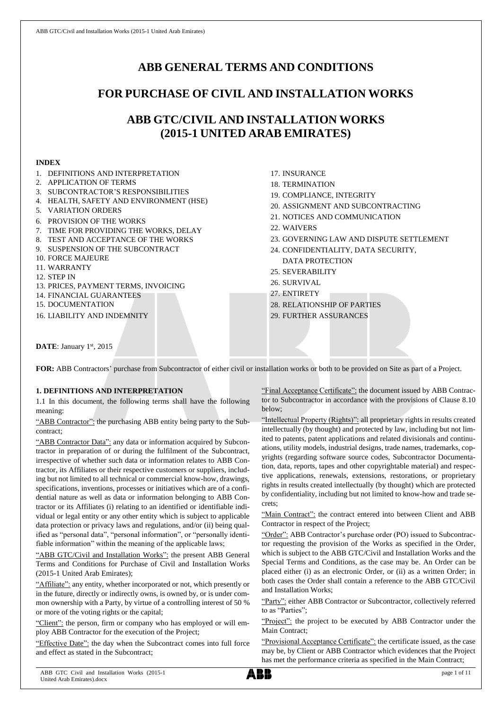1. DEFINITIONS AND INTERPRETATION

# **ABB GENERAL TERMS AND CONDITIONS**

# **FOR PURCHASE OF CIVIL AND INSTALLATION WORKS**

# **ABB GTC/CIVIL AND INSTALLATION WORKS (2015-1 UNITED ARAB EMIRATES)**

## **INDEX**

| L. DEFINITIONS AND INTERFRETATION       |  |
|-----------------------------------------|--|
| <b>APPLICATION OF TERMS</b><br>2.       |  |
| 3. SUBCONTRACTOR'S RESPONSIBILITIES     |  |
| 4. HEALTH, SAFETY AND ENVIRONMENT (HSE) |  |
| 5. VARIATION ORDERS                     |  |
| 6. PROVISION OF THE WORKS               |  |
| 7. TIME FOR PROVIDING THE WORKS, DELAY  |  |
| 8. TEST AND ACCEPTANCE OF THE WORKS     |  |
| 9. SUSPENSION OF THE SUBCONTRACT        |  |
| <b>10. FORCE MAJEURE</b>                |  |
| 11. WARRANTY                            |  |
| 12. STEP IN                             |  |
| 13. PRICES. PAYMENT TERMS. INVOICING    |  |
| 14. FINANCIAL GUARANTEES                |  |
| <b>15. DOCUMENTATION</b>                |  |
| <b>16. LIABILITY AND INDEMNITY</b>      |  |
|                                         |  |
|                                         |  |
|                                         |  |

- 17. INSURANCE
- 18. TERMINATION
- 19. COMPLIANCE, INTEGRITY
- 20. ASSIGNMENT AND SUBCONTRACTING
- 21. NOTICES AND COMMUNICATION
- 22. WAIVERS
- 23. GOVERNING LAW AND DISPUTE SETTLEMENT
- 24. CONFIDENTIALITY, DATA SECURITY, DATA PROTECTION
- 25. SEVERABILITY
- 26. SURVIVAL
- 27. ENTIRETY
- 28. RELATIONSHIP OF PARTIES
- 29. FURTHER ASSURANCES

DATE: January 1st, 2015

**FOR:** ABB Contractors' purchase from Subcontractor of either civil or installation works or both to be provided on Site as part of a Project.

# **1. DEFINITIONS AND INTERPRETATION**

1.1 In this document, the following terms shall have the following meaning:

"ABB Contractor": the purchasing ABB entity being party to the Subcontract;

"ABB Contractor Data": any data or information acquired by Subcontractor in preparation of or during the fulfilment of the Subcontract, irrespective of whether such data or information relates to ABB Contractor, its Affiliates or their respective customers or suppliers, including but not limited to all technical or commercial know-how, drawings, specifications, inventions, processes or initiatives which are of a confidential nature as well as data or information belonging to ABB Contractor or its Affiliates (i) relating to an identified or identifiable individual or legal entity or any other entity which is subject to applicable data protection or privacy laws and regulations, and/or (ii) being qualified as "personal data", "personal information", or "personally identifiable information" within the meaning of the applicable laws;

"ABB GTC/Civil and Installation Works": the present ABB General Terms and Conditions for Purchase of Civil and Installation Works (2015-1 United Arab Emirates);

"Affiliate": any entity, whether incorporated or not, which presently or in the future, directly or indirectly owns, is owned by, or is under common ownership with a Party, by virtue of a controlling interest of 50 % or more of the voting rights or the capital;

"Client": the person, firm or company who has employed or will employ ABB Contractor for the execution of the Project;

"Effective Date": the day when the Subcontract comes into full force and effect as stated in the Subcontract;

"Final Acceptance Certificate": the document issued by ABB Contractor to Subcontractor in accordance with the provisions of Clause 8.10 below;

"Intellectual Property (Rights)": all proprietary rights in results created intellectually (by thought) and protected by law, including but not limited to patents, patent applications and related divisionals and continuations, utility models, industrial designs, trade names, trademarks, copyrights (regarding software source codes, Subcontractor Documentation, data, reports, tapes and other copyrightable material) and respective applications, renewals, extensions, restorations, or proprietary rights in results created intellectually (by thought) which are protected by confidentiality, including but not limited to know-how and trade secrets;

"Main Contract": the contract entered into between Client and ABB Contractor in respect of the Project;

"Order": ABB Contractor's purchase order (PO) issued to Subcontractor requesting the provision of the Works as specified in the Order, which is subject to the ABB GTC/Civil and Installation Works and the Special Terms and Conditions, as the case may be. An Order can be placed either (i) as an electronic Order, or (ii) as a written Order; in both cases the Order shall contain a reference to the ABB GTC/Civil and Installation Works;

"Party": either ABB Contractor or Subcontractor, collectively referred to as "Parties";

"Project": the project to be executed by ABB Contractor under the Main Contract;

"Provisional Acceptance Certificate": the certificate issued, as the case may be, by Client or ABB Contractor which evidences that the Project has met the performance criteria as specified in the Main Contract;

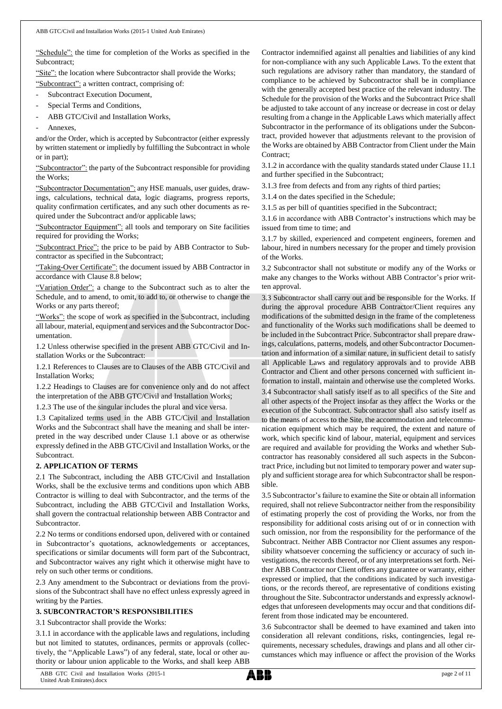"Schedule": the time for completion of the Works as specified in the Subcontract;

"Site": the location where Subcontractor shall provide the Works;

"Subcontract": a written contract, comprising of:

- Subcontract Execution Document,
- Special Terms and Conditions,
- ABB GTC/Civil and Installation Works,
- Annexes.

and/or the Order, which is accepted by Subcontractor (either expressly by written statement or impliedly by fulfilling the Subcontract in whole or in part);

"Subcontractor": the party of the Subcontract responsible for providing the Works;

"Subcontractor Documentation": any HSE manuals, user guides, drawings, calculations, technical data, logic diagrams, progress reports, quality confirmation certificates, and any such other documents as required under the Subcontract and/or applicable laws;

"Subcontractor Equipment": all tools and temporary on Site facilities required for providing the Works;

"Subcontract Price": the price to be paid by ABB Contractor to Subcontractor as specified in the Subcontract;

"Taking-Over Certificate": the document issued by ABB Contractor in accordance with Clause 8.8 below;

"Variation Order": a change to the Subcontract such as to alter the Schedule, and to amend, to omit, to add to, or otherwise to change the Works or any parts thereof;

"Works": the scope of work as specified in the Subcontract, including all labour, material, equipment and services and the Subcontractor Documentation.

1.2 Unless otherwise specified in the present ABB GTC/Civil and Installation Works or the Subcontract:

1.2.1 References to Clauses are to Clauses of the ABB GTC/Civil and Installation Works;

1.2.2 Headings to Clauses are for convenience only and do not affect the interpretation of the ABB GTC/Civil and Installation Works;

1.2.3 The use of the singular includes the plural and vice versa.

1.3 Capitalized terms used in the ABB GTC/Civil and Installation Works and the Subcontract shall have the meaning and shall be interpreted in the way described under Clause 1.1 above or as otherwise expressly defined in the ABB GTC/Civil and Installation Works, or the Subcontract.

## **2. APPLICATION OF TERMS**

2.1 The Subcontract, including the ABB GTC/Civil and Installation Works, shall be the exclusive terms and conditions upon which ABB Contractor is willing to deal with Subcontractor, and the terms of the Subcontract, including the ABB GTC/Civil and Installation Works, shall govern the contractual relationship between ABB Contractor and Subcontractor.

2.2 No terms or conditions endorsed upon, delivered with or contained in Subcontractor's quotations, acknowledgements or acceptances, specifications or similar documents will form part of the Subcontract, and Subcontractor waives any right which it otherwise might have to rely on such other terms or conditions.

2.3 Any amendment to the Subcontract or deviations from the provisions of the Subcontract shall have no effect unless expressly agreed in writing by the Parties.

## **3. SUBCONTRACTOR'S RESPONSIBILITIES**

3.1 Subcontractor shall provide the Works:

3.1.1 in accordance with the applicable laws and regulations, including but not limited to statutes, ordinances, permits or approvals (collectively, the "Applicable Laws") of any federal, state, local or other authority or labour union applicable to the Works, and shall keep ABB

Contractor indemnified against all penalties and liabilities of any kind for non-compliance with any such Applicable Laws. To the extent that such regulations are advisory rather than mandatory, the standard of compliance to be achieved by Subcontractor shall be in compliance with the generally accepted best practice of the relevant industry. The Schedule for the provision of the Works and the Subcontract Price shall be adjusted to take account of any increase or decrease in cost or delay resulting from a change in the Applicable Laws which materially affect Subcontractor in the performance of its obligations under the Subcontract, provided however that adjustments relevant to the provision of the Works are obtained by ABB Contractor from Client under the Main Contract:

3.1.2 in accordance with the quality standards stated under Clause 11.1 and further specified in the Subcontract;

3.1.3 free from defects and from any rights of third parties;

3.1.4 on the dates specified in the Schedule;

3.1.5 as per bill of quantities specified in the Subcontract;

3.1.6 in accordance with ABB Contractor's instructions which may be issued from time to time; and

3.1.7 by skilled, experienced and competent engineers, foremen and labour, hired in numbers necessary for the proper and timely provision of the Works.

3.2 Subcontractor shall not substitute or modify any of the Works or make any changes to the Works without ABB Contractor's prior written approval.

3.3 Subcontractor shall carry out and be responsible for the Works. If during the approval procedure ABB Contractor/Client requires any modifications of the submitted design in the frame of the completeness and functionality of the Works such modifications shall be deemed to be included in the Subcontract Price. Subcontractor shall prepare drawings, calculations, patterns, models, and other Subcontractor Documentation and information of a similar nature, in sufficient detail to satisfy all Applicable Laws and regulatory approvals and to provide ABB Contractor and Client and other persons concerned with sufficient information to install, maintain and otherwise use the completed Works.

3.4 Subcontractor shall satisfy itself as to all specifics of the Site and all other aspects of the Project insofar as they affect the Works or the execution of the Subcontract. Subcontractor shall also satisfy itself as to the means of access to the Site, the accommodation and telecommunication equipment which may be required, the extent and nature of work, which specific kind of labour, material, equipment and services are required and available for providing the Works and whether Subcontractor has reasonably considered all such aspects in the Subcontract Price, including but not limited to temporary power and water supply and sufficient storage area for which Subcontractor shall be responsible.

3.5 Subcontractor's failure to examine the Site or obtain all information required, shall not relieve Subcontractor neither from the responsibility of estimating properly the cost of providing the Works, nor from the responsibility for additional costs arising out of or in connection with such omission, nor from the responsibility for the performance of the Subcontract. Neither ABB Contractor nor Client assumes any responsibility whatsoever concerning the sufficiency or accuracy of such investigations, the records thereof, or of any interpretations set forth. Neither ABB Contractor nor Client offers any guarantee or warranty, either expressed or implied, that the conditions indicated by such investigations, or the records thereof, are representative of conditions existing throughout the Site. Subcontractor understands and expressly acknowledges that unforeseen developments may occur and that conditions different from those indicated may be encountered.

3.6 Subcontractor shall be deemed to have examined and taken into consideration all relevant conditions, risks, contingencies, legal requirements, necessary schedules, drawings and plans and all other circumstances which may influence or affect the provision of the Works

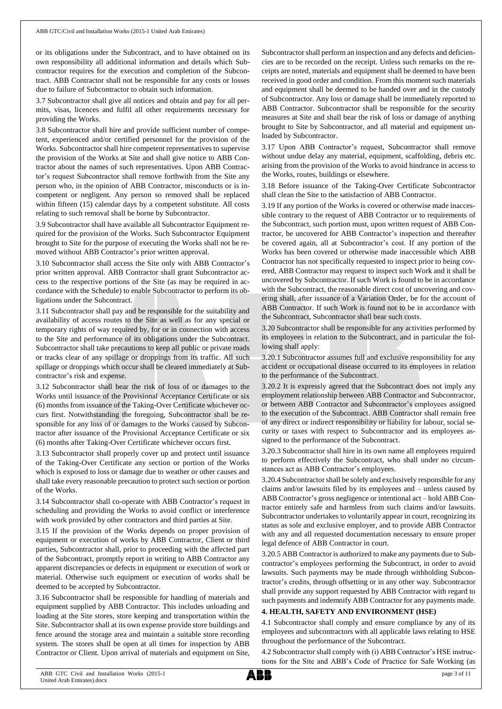or its obligations under the Subcontract, and to have obtained on its own responsibility all additional information and details which Subcontractor requires for the execution and completion of the Subcontract. ABB Contractor shall not be responsible for any costs or losses due to failure of Subcontractor to obtain such information.

3.7 Subcontractor shall give all notices and obtain and pay for all permits, visas, licences and fulfil all other requirements necessary for providing the Works.

3.8 Subcontractor shall hire and provide sufficient number of competent, experienced and/or certified personnel for the provision of the Works. Subcontractor shall hire competent representatives to supervise the provision of the Works at Site and shall give notice to ABB Contractor about the names of such representatives. Upon ABB Contractor's request Subcontractor shall remove forthwith from the Site any person who, in the opinion of ABB Contractor, misconducts or is incompetent or negligent. Any person so removed shall be replaced within fifteen (15) calendar days by a competent substitute. All costs relating to such removal shall be borne by Subcontractor.

3.9 Subcontractor shall have available all Subcontractor Equipment required for the provision of the Works. Such Subcontractor Equipment brought to Site for the purpose of executing the Works shall not be removed without ABB Contractor's prior written approval.

3.10 Subcontractor shall access the Site only with ABB Contractor's prior written approval. ABB Contractor shall grant Subcontractor access to the respective portions of the Site (as may be required in accordance with the Schedule) to enable Subcontractor to perform its obligations under the Subcontract.

3.11 Subcontractor shall pay and be responsible for the suitability and availability of access routes to the Site as well as for any special or temporary rights of way required by, for or in connection with access to the Site and performance of its obligations under the Subcontract. Subcontractor shall take precautions to keep all public or private roads or tracks clear of any spillage or droppings from its traffic. All such spillage or droppings which occur shall be cleared immediately at Subcontractor's risk and expense.

3.12 Subcontractor shall bear the risk of loss of or damages to the Works until issuance of the Provisional Acceptance Certificate or six (6) months from issuance of the Taking-Over Certificate whichever occurs first. Notwithstanding the foregoing, Subcontractor shall be responsible for any loss of or damages to the Works caused by Subcontractor after issuance of the Provisional Acceptance Certificate or six (6) months after Taking-Over Certificate whichever occurs first.

3.13 Subcontractor shall properly cover up and protect until issuance of the Taking-Over Certificate any section or portion of the Works which is exposed to loss or damage due to weather or other causes and shall take every reasonable precaution to protect such section or portion of the Works.

3.14 Subcontractor shall co-operate with ABB Contractor's request in scheduling and providing the Works to avoid conflict or interference with work provided by other contractors and third parties at Site.

3.15 If the provision of the Works depends on proper provision of equipment or execution of works by ABB Contractor, Client or third parties, Subcontractor shall, prior to proceeding with the affected part of the Subcontract, promptly report in writing to ABB Contractor any apparent discrepancies or defects in equipment or execution of work or material. Otherwise such equipment or execution of works shall be deemed to be accepted by Subcontractor.

3.16 Subcontractor shall be responsible for handling of materials and equipment supplied by ABB Contractor. This includes unloading and loading at the Site stores, store keeping and transportation within the Site. Subcontractor shall at its own expense provide store buildings and fence around the storage area and maintain a suitable store recording system. The stores shall be open at all times for inspection by ABB Contractor or Client. Upon arrival of materials and equipment on Site,

Subcontractor shall perform an inspection and any defects and deficiencies are to be recorded on the receipt. Unless such remarks on the receipts are noted, materials and equipment shall be deemed to have been received in good order and condition. From this moment such materials and equipment shall be deemed to be handed over and in the custody of Subcontractor. Any loss or damage shall be immediately reported to ABB Contractor. Subcontractor shall be responsible for the security measures at Site and shall bear the risk of loss or damage of anything brought to Site by Subcontractor, and all material and equipment unloaded by Subcontractor.

3.17 Upon ABB Contractor's request, Subcontractor shall remove without undue delay any material, equipment, scaffolding, debris etc. arising from the provision of the Works to avoid hindrance in access to the Works, routes, buildings or elsewhere.

3.18 Before issuance of the Taking-Over Certificate Subcontractor shall clean the Site to the satisfaction of ABB Contractor.

3.19 If any portion of the Works is covered or otherwise made inaccessible contrary to the request of ABB Contractor or to requirements of the Subcontract, such portion must, upon written request of ABB Contractor, be uncovered for ABB Contractor's inspection and thereafter be covered again, all at Subcontractor's cost. If any portion of the Works has been covered or otherwise made inaccessible which ABB Contractor has not specifically requested to inspect prior to being covered, ABB Contractor may request to inspect such Work and it shall be uncovered by Subcontractor. If such Work is found to be in accordance with the Subcontract, the reasonable direct cost of uncovering and covering shall, after issuance of a Variation Order, be for the account of ABB Contractor. If such Work is found not to be in accordance with the Subcontract, Subcontractor shall bear such costs.

3.20 Subcontractor shall be responsible for any activities performed by its employees in relation to the Subcontract, and in particular the following shall apply:

3.20.1 Subcontractor assumes full and exclusive responsibility for any accident or occupational disease occurred to its employees in relation to the performance of the Subcontract.

3.20.2 It is expressly agreed that the Subcontract does not imply any employment relationship between ABB Contractor and Subcontractor, or between ABB Contractor and Subcontractor's employees assigned to the execution of the Subcontract. ABB Contractor shall remain free of any direct or indirect responsibility or liability for labour, social security or taxes with respect to Subcontractor and its employees assigned to the performance of the Subcontract.

3.20.3 Subcontractor shall hire in its own name all employees required to perform effectively the Subcontract, who shall under no circumstances act as ABB Contractor's employees.

3.20.4 Subcontractorshall be solely and exclusively responsible for any claims and/or lawsuits filed by its employees and – unless caused by ABB Contractor's gross negligence or intentional act – hold ABB Contractor entirely safe and harmless from such claims and/or lawsuits. Subcontractor undertakes to voluntarily appear in court, recognizing its status as sole and exclusive employer, and to provide ABB Contractor with any and all requested documentation necessary to ensure proper legal defence of ABB Contractor in court.

3.20.5 ABB Contractor is authorized to make any payments due to Subcontractor's employees performing the Subcontract, in order to avoid lawsuits. Such payments may be made through withholding Subcontractor's credits, through offsetting or in any other way. Subcontractor shall provide any support requested by ABB Contractor with regard to such payments and indemnify ABB Contractor for any payments made.

## **4. HEALTH, SAFETY AND ENVIRONMENT (HSE)**

4.1 Subcontractor shall comply and ensure compliance by any of its employees and subcontractors with all applicable laws relating to HSE throughout the performance of the Subcontract.

4.2 Subcontractor shall comply with (i) ABB Contractor's HSE instructions for the Site and ABB's Code of Practice for Safe Working (as

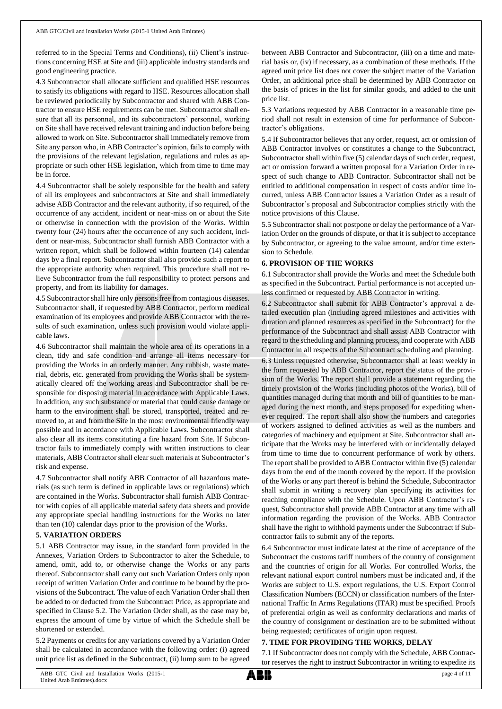referred to in the Special Terms and Conditions), (ii) Client's instructions concerning HSE at Site and (iii) applicable industry standards and good engineering practice.

4.3 Subcontractor shall allocate sufficient and qualified HSE resources to satisfy its obligations with regard to HSE. Resources allocation shall be reviewed periodically by Subcontractor and shared with ABB Contractor to ensure HSE requirements can be met. Subcontractor shall ensure that all its personnel, and its subcontractors' personnel, working on Site shall have received relevant training and induction before being allowed to work on Site. Subcontractor shall immediately remove from Site any person who, in ABB Contractor's opinion, fails to comply with the provisions of the relevant legislation, regulations and rules as appropriate or such other HSE legislation, which from time to time may be in force.

4.4 Subcontractor shall be solely responsible for the health and safety of all its employees and subcontractors at Site and shall immediately advise ABB Contractor and the relevant authority, if so required, of the occurrence of any accident, incident or near-miss on or about the Site or otherwise in connection with the provision of the Works. Within twenty four (24) hours after the occurrence of any such accident, incident or near-miss, Subcontractor shall furnish ABB Contractor with a written report, which shall be followed within fourteen (14) calendar days by a final report. Subcontractor shall also provide such a report to the appropriate authority when required. This procedure shall not relieve Subcontractor from the full responsibility to protect persons and property, and from its liability for damages.

4.5 Subcontractor shall hire only persons free from contagious diseases. Subcontractor shall, if requested by ABB Contractor, perform medical examination of its employees and provide ABB Contractor with the results of such examination, unless such provision would violate applicable laws.

4.6 Subcontractor shall maintain the whole area of its operations in a clean, tidy and safe condition and arrange all items necessary for providing the Works in an orderly manner. Any rubbish, waste material, debris, etc. generated from providing the Works shall be systematically cleared off the working areas and Subcontractor shall be responsible for disposing material in accordance with Applicable Laws. In addition, any such substance or material that could cause damage or harm to the environment shall be stored, transported, treated and removed to, at and from the Site in the most environmental friendly way possible and in accordance with Applicable Laws. Subcontractor shall also clear all its items constituting a fire hazard from Site. If Subcontractor fails to immediately comply with written instructions to clear materials, ABB Contractor shall clear such materials at Subcontractor's risk and expense.

4.7 Subcontractor shall notify ABB Contractor of all hazardous materials (as such term is defined in applicable laws or regulations) which are contained in the Works. Subcontractor shall furnish ABB Contractor with copies of all applicable material safety data sheets and provide any appropriate special handling instructions for the Works no later than ten (10) calendar days prior to the provision of the Works.

## **5. VARIATION ORDERS**

5.1 ABB Contractor may issue, in the standard form provided in the Annexes, Variation Orders to Subcontractor to alter the Schedule, to amend, omit, add to, or otherwise change the Works or any parts thereof. Subcontractor shall carry out such Variation Orders only upon receipt of written Variation Order and continue to be bound by the provisions of the Subcontract. The value of each Variation Order shall then be added to or deducted from the Subcontract Price, as appropriate and specified in Clause 5.2. The Variation Order shall, as the case may be, express the amount of time by virtue of which the Schedule shall be shortened or extended.

5.2 Payments or credits for any variations covered by a Variation Order shall be calculated in accordance with the following order: (i) agreed unit price list as defined in the Subcontract, (ii) lump sum to be agreed

between ABB Contractor and Subcontractor, (iii) on a time and material basis or, (iv) if necessary, as a combination of these methods. If the agreed unit price list does not cover the subject matter of the Variation Order, an additional price shall be determined by ABB Contractor on the basis of prices in the list for similar goods, and added to the unit price list.

5.3 Variations requested by ABB Contractor in a reasonable time period shall not result in extension of time for performance of Subcontractor's obligations.

5.4 If Subcontractor believes that any order, request, act or omission of ABB Contractor involves or constitutes a change to the Subcontract, Subcontractor shall within five (5) calendar days of such order, request, act or omission forward a written proposal for a Variation Order in respect of such change to ABB Contractor. Subcontractor shall not be entitled to additional compensation in respect of costs and/or time incurred, unless ABB Contractor issues a Variation Order as a result of Subcontractor's proposal and Subcontractor complies strictly with the notice provisions of this Clause.

5.5 Subcontractor shall not postpone or delay the performance of a Variation Order on the grounds of dispute, or that it is subject to acceptance by Subcontractor, or agreeing to the value amount, and/or time extension to Schedule.

## **6. PROVISION OF THE WORKS**

6.1 Subcontractor shall provide the Works and meet the Schedule both as specified in the Subcontract. Partial performance is not accepted unless confirmed or requested by ABB Contractor in writing.

6.2 Subcontractor shall submit for ABB Contractor's approval a detailed execution plan (including agreed milestones and activities with duration and planned resources as specified in the Subcontract) for the performance of the Subcontract and shall assist ABB Contractor with regard to the scheduling and planning process, and cooperate with ABB Contractor in all respects of the Subcontract scheduling and planning.

6.3 Unless requested otherwise, Subcontractor shall at least weekly in the form requested by ABB Contractor, report the status of the provision of the Works. The report shall provide a statement regarding the timely provision of the Works (including photos of the Works), bill of quantities managed during that month and bill of quantities to be managed during the next month, and steps proposed for expediting whenever required. The report shall also show the numbers and categories of workers assigned to defined activities as well as the numbers and categories of machinery and equipment at Site. Subcontractor shall anticipate that the Works may be interfered with or incidentally delayed from time to time due to concurrent performance of work by others. The report shall be provided to ABB Contractor within five (5) calendar days from the end of the month covered by the report. If the provision of the Works or any part thereof is behind the Schedule, Subcontractor shall submit in writing a recovery plan specifying its activities for reaching compliance with the Schedule. Upon ABB Contractor's request, Subcontractor shall provide ABB Contractor at any time with all information regarding the provision of the Works. ABB Contractor shall have the right to withhold payments under the Subcontract if Subcontractor fails to submit any of the reports.

6.4 Subcontractor must indicate latest at the time of acceptance of the Subcontract the customs tariff numbers of the country of consignment and the countries of origin for all Works. For controlled Works, the relevant national export control numbers must be indicated and, if the Works are subject to U.S. export regulations, the U.S. Export Control Classification Numbers (ECCN) or classification numbers of the International Traffic In Arms Regulations (ITAR) must be specified. Proofs of preferential origin as well as conformity declarations and marks of the country of consignment or destination are to be submitted without being requested; certificates of origin upon request.

## **7. TIME FOR PROVIDING THE WORKS, DELAY**

7.1 If Subcontractor does not comply with the Schedule, ABB Contractor reserves the right to instruct Subcontractor in writing to expedite its

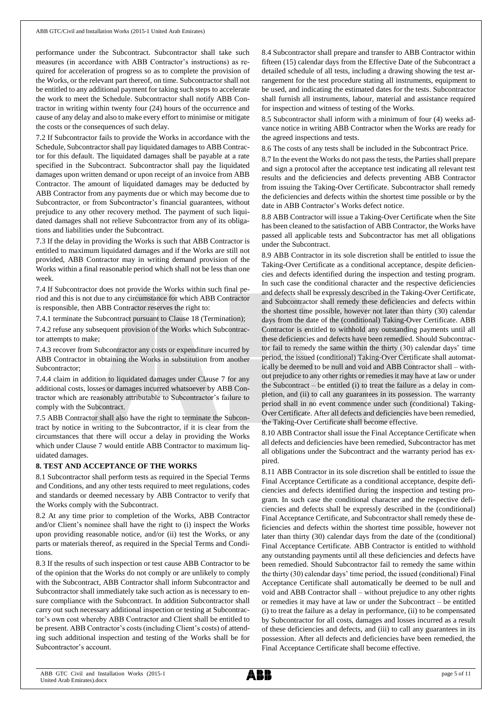performance under the Subcontract. Subcontractor shall take such measures (in accordance with ABB Contractor's instructions) as required for acceleration of progress so as to complete the provision of the Works, or the relevant part thereof, on time. Subcontractor shall not be entitled to any additional payment for taking such steps to accelerate the work to meet the Schedule. Subcontractor shall notify ABB Contractor in writing within twenty four (24) hours of the occurrence and cause of any delay and also to make every effort to minimise or mitigate the costs or the consequences of such delay.

7.2 If Subcontractor fails to provide the Works in accordance with the Schedule, Subcontractor shall pay liquidated damages to ABB Contractor for this default. The liquidated damages shall be payable at a rate specified in the Subcontract. Subcontractor shall pay the liquidated damages upon written demand or upon receipt of an invoice from ABB Contractor. The amount of liquidated damages may be deducted by ABB Contractor from any payments due or which may become due to Subcontractor, or from Subcontractor's financial guarantees, without prejudice to any other recovery method. The payment of such liquidated damages shall not relieve Subcontractor from any of its obligations and liabilities under the Subcontract.

7.3 If the delay in providing the Works is such that ABB Contractor is entitled to maximum liquidated damages and if the Works are still not provided, ABB Contractor may in writing demand provision of the Works within a final reasonable period which shall not be less than one week.

7.4 If Subcontractor does not provide the Works within such final period and this is not due to any circumstance for which ABB Contractor is responsible, then ABB Contractor reserves the right to:

7.4.1 terminate the Subcontract pursuant to Clause 18 (Termination);

7.4.2 refuse any subsequent provision of the Works which Subcontractor attempts to make;

7.4.3 recover from Subcontractor any costs or expenditure incurred by ABB Contractor in obtaining the Works in substitution from another Subcontractor;

7.4.4 claim in addition to liquidated damages under Clause 7 for any additional costs, losses or damages incurred whatsoever by ABB Contractor which are reasonably attributable to Subcontractor's failure to comply with the Subcontract.

7.5 ABB Contractor shall also have the right to terminate the Subcontract by notice in writing to the Subcontractor, if it is clear from the circumstances that there will occur a delay in providing the Works which under Clause 7 would entitle ABB Contractor to maximum liquidated damages.

## **8. TEST AND ACCEPTANCE OF THE WORKS**

8.1 Subcontractor shall perform tests as required in the Special Terms and Conditions, and any other tests required to meet regulations, codes and standards or deemed necessary by ABB Contractor to verify that the Works comply with the Subcontract.

8.2 At any time prior to completion of the Works, ABB Contractor and/or Client's nominee shall have the right to (i) inspect the Works upon providing reasonable notice, and/or (ii) test the Works, or any parts or materials thereof, as required in the Special Terms and Conditions.

8.3 If the results of such inspection or test cause ABB Contractor to be of the opinion that the Works do not comply or are unlikely to comply with the Subcontract, ABB Contractor shall inform Subcontractor and Subcontractor shall immediately take such action as is necessary to ensure compliance with the Subcontract. In addition Subcontractor shall carry out such necessary additional inspection or testing at Subcontractor's own cost whereby ABB Contractor and Client shall be entitled to be present. ABB Contractor's costs (including Client's costs) of attending such additional inspection and testing of the Works shall be for Subcontractor's account.

8.4 Subcontractor shall prepare and transfer to ABB Contractor within fifteen (15) calendar days from the Effective Date of the Subcontract a detailed schedule of all tests, including a drawing showing the test arrangement for the test procedure stating all instruments, equipment to be used, and indicating the estimated dates for the tests. Subcontractor shall furnish all instruments, labour, material and assistance required for inspection and witness of testing of the Works.

8.5 Subcontractor shall inform with a minimum of four (4) weeks advance notice in writing ABB Contractor when the Works are ready for the agreed inspections and tests.

8.6 The costs of any tests shall be included in the Subcontract Price.

8.7 In the event the Works do not pass the tests, the Parties shall prepare and sign a protocol after the acceptance test indicating all relevant test results and the deficiencies and defects preventing ABB Contractor from issuing the Taking-Over Certificate. Subcontractor shall remedy the deficiencies and defects within the shortest time possible or by the date in ABB Contractor's Works defect notice.

8.8 ABB Contractor will issue a Taking-Over Certificate when the Site has been cleaned to the satisfaction of ABB Contractor, the Works have passed all applicable tests and Subcontractor has met all obligations under the Subcontract.

8.9 ABB Contractor in its sole discretion shall be entitled to issue the Taking-Over Certificate as a conditional acceptance, despite deficiencies and defects identified during the inspection and testing program. In such case the conditional character and the respective deficiencies and defects shall be expressly described in the Taking-Over Certificate, and Subcontractor shall remedy these deficiencies and defects within the shortest time possible, however not later than thirty (30) calendar days from the date of the (conditional) Taking-Over Certificate. ABB Contractor is entitled to withhold any outstanding payments until all these deficiencies and defects have been remedied. Should Subcontractor fail to remedy the same within the thirty (30) calendar days' time period, the issued (conditional) Taking-Over Certificate shall automatically be deemed to be null and void and ABB Contractor shall – without prejudice to any other rights or remedies it may have at law or under the Subcontract – be entitled (i) to treat the failure as a delay in completion, and (ii) to call any guarantees in its possession. The warranty period shall in no event commence under such (conditional) Taking-Over Certificate. After all defects and deficiencies have been remedied, the Taking-Over Certificate shall become effective.

8.10 ABB Contractor shall issue the Final Acceptance Certificate when all defects and deficiencies have been remedied, Subcontractor has met all obligations under the Subcontract and the warranty period has expired.

8.11 ABB Contractor in its sole discretion shall be entitled to issue the Final Acceptance Certificate as a conditional acceptance, despite deficiencies and defects identified during the inspection and testing program. In such case the conditional character and the respective deficiencies and defects shall be expressly described in the (conditional) Final Acceptance Certificate, and Subcontractor shall remedy these deficiencies and defects within the shortest time possible, however not later than thirty (30) calendar days from the date of the (conditional) Final Acceptance Certificate. ABB Contractor is entitled to withhold any outstanding payments until all these deficiencies and defects have been remedied. Should Subcontractor fail to remedy the same within the thirty (30) calendar days' time period, the issued (conditional) Final Acceptance Certificate shall automatically be deemed to be null and void and ABB Contractor shall – without prejudice to any other rights or remedies it may have at law or under the Subcontract – be entitled (i) to treat the failure as a delay in performance, (ii) to be compensated by Subcontractor for all costs, damages and losses incurred as a result of these deficiencies and defects, and (iii) to call any guarantees in its possession. After all defects and deficiencies have been remedied, the Final Acceptance Certificate shall become effective.

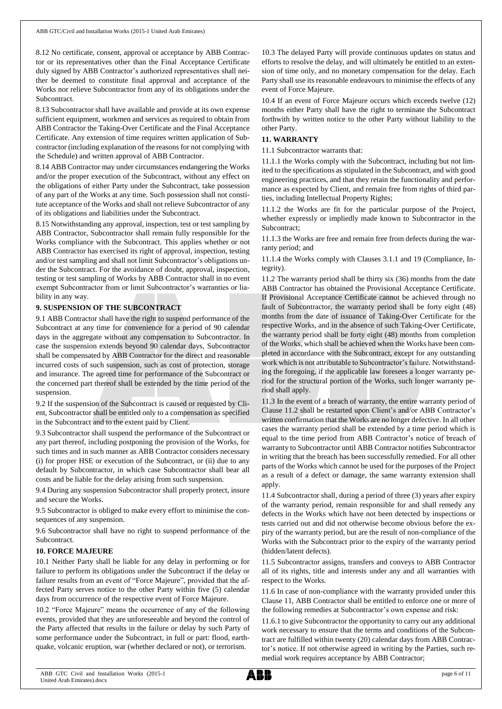8.12 No certificate, consent, approval or acceptance by ABB Contractor or its representatives other than the Final Acceptance Certificate duly signed by ABB Contractor's authorized representatives shall neither be deemed to constitute final approval and acceptance of the Works nor relieve Subcontractor from any of its obligations under the Subcontract.

8.13 Subcontractor shall have available and provide at its own expense sufficient equipment, workmen and services as required to obtain from ABB Contractor the Taking-Over Certificate and the Final Acceptance Certificate. Any extension of time requires written application of Subcontractor (including explanation of the reasons for not complying with the Schedule) and written approval of ABB Contractor.

8.14 ABB Contractor may under circumstances endangering the Works and/or the proper execution of the Subcontract, without any effect on the obligations of either Party under the Subcontract, take possession of any part of the Works at any time. Such possession shall not constitute acceptance of the Works and shall not relieve Subcontractor of any of its obligations and liabilities under the Subcontract.

8.15 Notwithstanding any approval, inspection, test or test sampling by ABB Contractor, Subcontractor shall remain fully responsible for the Works compliance with the Subcontract. This applies whether or not ABB Contractor has exercised its right of approval, inspection, testing and/or test sampling and shall not limit Subcontractor's obligations under the Subcontract. For the avoidance of doubt, approval, inspection, testing or test sampling of Works by ABB Contractor shall in no event exempt Subcontractor from or limit Subcontractor's warranties or liability in any way.

## **9. SUSPENSION OF THE SUBCONTRACT**

9.1 ABB Contractor shall have the right to suspend performance of the Subcontract at any time for convenience for a period of 90 calendar days in the aggregate without any compensation to Subcontractor. In case the suspension extends beyond 90 calendar days, Subcontractor shall be compensated by ABB Contractor for the direct and reasonable incurred costs of such suspension, such as cost of protection, storage and insurance. The agreed time for performance of the Subcontract or the concerned part thereof shall be extended by the time period of the suspension.

9.2 If the suspension of the Subcontract is caused or requested by Client, Subcontractor shall be entitled only to a compensation as specified in the Subcontract and to the extent paid by Client.

9.3 Subcontractor shall suspend the performance of the Subcontract or any part thereof, including postponing the provision of the Works, for such times and in such manner as ABB Contractor considers necessary (i) for proper HSE or execution of the Subcontract, or (ii) due to any default by Subcontractor, in which case Subcontractor shall bear all costs and be liable for the delay arising from such suspension.

9.4 During any suspension Subcontractor shall properly protect, insure and secure the Works.

9.5 Subcontractor is obliged to make every effort to minimise the consequences of any suspension.

9.6 Subcontractor shall have no right to suspend performance of the Subcontract.

## **10. FORCE MAJEURE**

10.1 Neither Party shall be liable for any delay in performing or for failure to perform its obligations under the Subcontract if the delay or failure results from an event of "Force Majeure", provided that the affected Party serves notice to the other Party within five (5) calendar days from occurrence of the respective event of Force Majeure.

10.2 "Force Majeure" means the occurrence of any of the following events, provided that they are unforeseeable and beyond the control of the Party affected that results in the failure or delay by such Party of some performance under the Subcontract, in full or part: flood, earthquake, volcanic eruption, war (whether declared or not), or terrorism.

10.3 The delayed Party will provide continuous updates on status and efforts to resolve the delay, and will ultimately be entitled to an extension of time only, and no monetary compensation for the delay. Each Party shall use its reasonable endeavours to minimise the effects of any event of Force Majeure.

10.4 If an event of Force Majeure occurs which exceeds twelve (12) months either Party shall have the right to terminate the Subcontract forthwith by written notice to the other Party without liability to the other Party.

## **11. WARRANTY**

11.1 Subcontractor warrants that:

11.1.1 the Works comply with the Subcontract, including but not limited to the specifications as stipulated in the Subcontract, and with good engineering practices, and that they retain the functionality and performance as expected by Client, and remain free from rights of third parties, including Intellectual Property Rights;

11.1.2 the Works are fit for the particular purpose of the Project, whether expressly or impliedly made known to Subcontractor in the Subcontract;

11.1.3 the Works are free and remain free from defects during the warranty period; and

11.1.4 the Works comply with Clauses 3.1.1 and 19 (Compliance, Integrity).

11.2 The warranty period shall be thirty six (36) months from the date ABB Contractor has obtained the Provisional Acceptance Certificate. If Provisional Acceptance Certificate cannot be achieved through no fault of Subcontractor, the warranty period shall be forty eight (48) months from the date of issuance of Taking-Over Certificate for the respective Works, and in the absence of such Taking-Over Certificate, the warranty period shall be forty eight (48) months from completion of the Works, which shall be achieved when the Works have been completed in accordance with the Subcontract, except for any outstanding work which is not attributable to Subcontractor's failure. Notwithstanding the foregoing, if the applicable law foresees a longer warranty period for the structural portion of the Works, such longer warranty period shall apply.

11.3 In the event of a breach of warranty, the entire warranty period of Clause 11.2 shall be restarted upon Client's and/or ABB Contractor's written confirmation that the Works are no longer defective. In all other cases the warranty period shall be extended by a time period which is equal to the time period from ABB Contractor's notice of breach of warranty to Subcontractor until ABB Contractor notifies Subcontractor in writing that the breach has been successfully remedied. For all other parts of the Works which cannot be used for the purposes of the Project as a result of a defect or damage, the same warranty extension shall apply.

11.4 Subcontractor shall, during a period of three (3) years after expiry of the warranty period, remain responsible for and shall remedy any defects in the Works which have not been detected by inspections or tests carried out and did not otherwise become obvious before the expiry of the warranty period, but are the result of non-compliance of the Works with the Subcontract prior to the expiry of the warranty period (hidden/latent defects).

11.5 Subcontractor assigns, transfers and conveys to ABB Contractor all of its rights, title and interests under any and all warranties with respect to the Works.

11.6 In case of non-compliance with the warranty provided under this Clause 11, ABB Contractor shall be entitled to enforce one or more of the following remedies at Subcontractor's own expense and risk:

11.6.1 to give Subcontractor the opportunity to carry out any additional work necessary to ensure that the terms and conditions of the Subcontract are fulfilled within twenty (20) calendar days from ABB Contractor's notice. If not otherwise agreed in writing by the Parties, such remedial work requires acceptance by ABB Contractor;

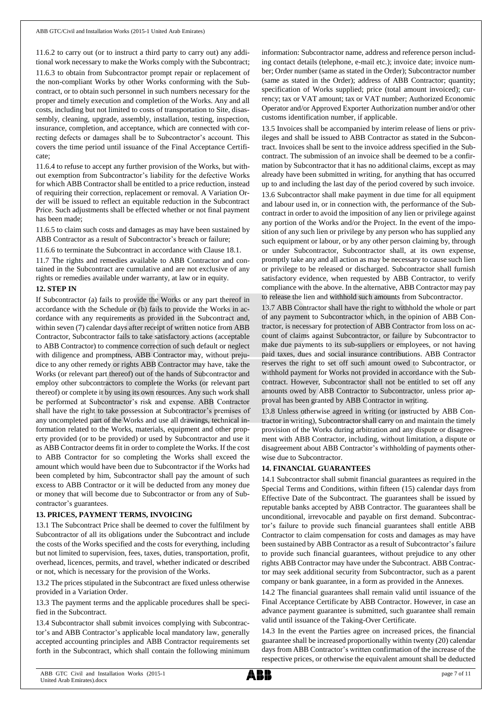11.6.2 to carry out (or to instruct a third party to carry out) any additional work necessary to make the Works comply with the Subcontract; 11.6.3 to obtain from Subcontractor prompt repair or replacement of the non-compliant Works by other Works conforming with the Subcontract, or to obtain such personnel in such numbers necessary for the proper and timely execution and completion of the Works. Any and all costs, including but not limited to costs of transportation to Site, disassembly, cleaning, upgrade, assembly, installation, testing, inspection, insurance, completion, and acceptance, which are connected with correcting defects or damages shall be to Subcontractor's account. This covers the time period until issuance of the Final Acceptance Certificate;

11.6.4 to refuse to accept any further provision of the Works, but without exemption from Subcontractor's liability for the defective Works for which ABB Contractor shall be entitled to a price reduction, instead of requiring their correction, replacement or removal. A Variation Order will be issued to reflect an equitable reduction in the Subcontract Price. Such adjustments shall be effected whether or not final payment has been made;

11.6.5 to claim such costs and damages as may have been sustained by ABB Contractor as a result of Subcontractor's breach or failure;

11.6.6 to terminate the Subcontract in accordance with Clause 18.1.

11.7 The rights and remedies available to ABB Contractor and contained in the Subcontract are cumulative and are not exclusive of any rights or remedies available under warranty, at law or in equity.

## **12. STEP IN**

If Subcontractor (a) fails to provide the Works or any part thereof in accordance with the Schedule or (b) fails to provide the Works in accordance with any requirements as provided in the Subcontract and, within seven (7) calendar days after receipt of written notice from ABB Contractor, Subcontractor fails to take satisfactory actions (acceptable to ABB Contractor) to commence correction of such default or neglect with diligence and promptness, ABB Contractor may, without prejudice to any other remedy or rights ABB Contractor may have, take the Works (or relevant part thereof) out of the hands of Subcontractor and employ other subcontractors to complete the Works (or relevant part thereof) or complete it by using its own resources. Any such work shall be performed at Subcontractor's risk and expense. ABB Contractor shall have the right to take possession at Subcontractor's premises of any uncompleted part of the Works and use all drawings, technical information related to the Works, materials, equipment and other property provided (or to be provided) or used by Subcontractor and use it as ABB Contractor deems fit in order to complete the Works. If the cost to ABB Contractor for so completing the Works shall exceed the amount which would have been due to Subcontractor if the Works had been completed by him, Subcontractor shall pay the amount of such excess to ABB Contractor or it will be deducted from any money due or money that will become due to Subcontractor or from any of Subcontractor's guarantees.

## **13. PRICES, PAYMENT TERMS, INVOICING**

13.1 The Subcontract Price shall be deemed to cover the fulfilment by Subcontractor of all its obligations under the Subcontract and include the costs of the Works specified and the costs for everything, including but not limited to supervision, fees, taxes, duties, transportation, profit, overhead, licences, permits, and travel, whether indicated or described or not, which is necessary for the provision of the Works.

13.2 The prices stipulated in the Subcontract are fixed unless otherwise provided in a Variation Order.

13.3 The payment terms and the applicable procedures shall be specified in the Subcontract.

13.4 Subcontractor shall submit invoices complying with Subcontractor's and ABB Contractor's applicable local mandatory law, generally accepted accounting principles and ABB Contractor requirements set forth in the Subcontract, which shall contain the following minimum information: Subcontractor name, address and reference person including contact details (telephone, e-mail etc.); invoice date; invoice number; Order number (same as stated in the Order); Subcontractor number (same as stated in the Order); address of ABB Contractor; quantity; specification of Works supplied; price (total amount invoiced); currency; tax or VAT amount; tax or VAT number; Authorized Economic Operator and/or Approved Exporter Authorization number and/or other customs identification number, if applicable.

13.5 Invoices shall be accompanied by interim release of liens or privileges and shall be issued to ABB Contractor as stated in the Subcontract. Invoices shall be sent to the invoice address specified in the Subcontract. The submission of an invoice shall be deemed to be a confirmation by Subcontractor that it has no additional claims, except as may already have been submitted in writing, for anything that has occurred up to and including the last day of the period covered by such invoice.

13.6 Subcontractor shall make payment in due time for all equipment and labour used in, or in connection with, the performance of the Subcontract in order to avoid the imposition of any lien or privilege against any portion of the Works and/or the Project. In the event of the imposition of any such lien or privilege by any person who has supplied any such equipment or labour, or by any other person claiming by, through or under Subcontractor, Subcontractor shall, at its own expense, promptly take any and all action as may be necessary to cause such lien or privilege to be released or discharged. Subcontractor shall furnish satisfactory evidence, when requested by ABB Contractor, to verify compliance with the above. In the alternative, ABB Contractor may pay to release the lien and withhold such amounts from Subcontractor.

13.7 ABB Contractor shall have the right to withhold the whole or part of any payment to Subcontractor which, in the opinion of ABB Contractor, is necessary for protection of ABB Contractor from loss on account of claims against Subcontractor, or failure by Subcontractor to make due payments to its sub-suppliers or employees, or not having paid taxes, dues and social insurance contributions. ABB Contractor reserves the right to set off such amount owed to Subcontractor, or withhold payment for Works not provided in accordance with the Subcontract. However, Subcontractor shall not be entitled to set off any amounts owed by ABB Contractor to Subcontractor, unless prior approval has been granted by ABB Contractor in writing.

13.8 Unless otherwise agreed in writing (or instructed by ABB Contractor in writing), Subcontractorshall carry on and maintain the timely provision of the Works during arbitration and any dispute or disagreement with ABB Contractor, including, without limitation, a dispute or disagreement about ABB Contractor's withholding of payments otherwise due to Subcontractor.

## **14. FINANCIAL GUARANTEES**

14.1 Subcontractor shall submit financial guarantees as required in the Special Terms and Conditions, within fifteen (15) calendar days from Effective Date of the Subcontract. The guarantees shall be issued by reputable banks accepted by ABB Contractor. The guarantees shall be unconditional, irrevocable and payable on first demand. Subcontractor's failure to provide such financial guarantees shall entitle ABB Contractor to claim compensation for costs and damages as may have been sustained by ABB Contractor as a result of Subcontractor's failure to provide such financial guarantees, without prejudice to any other rights ABB Contractor may have under the Subcontract. ABB Contractor may seek additional security from Subcontractor, such as a parent company or bank guarantee, in a form as provided in the Annexes.

14.2 The financial guarantees shall remain valid until issuance of the Final Acceptance Certificate by ABB Contractor. However, in case an advance payment guarantee is submitted, such guarantee shall remain valid until issuance of the Taking-Over Certificate.

14.3 In the event the Parties agree on increased prices, the financial guarantee shall be increased proportionally within twenty (20) calendar days from ABB Contractor's written confirmation of the increase of the respective prices, or otherwise the equivalent amount shall be deducted

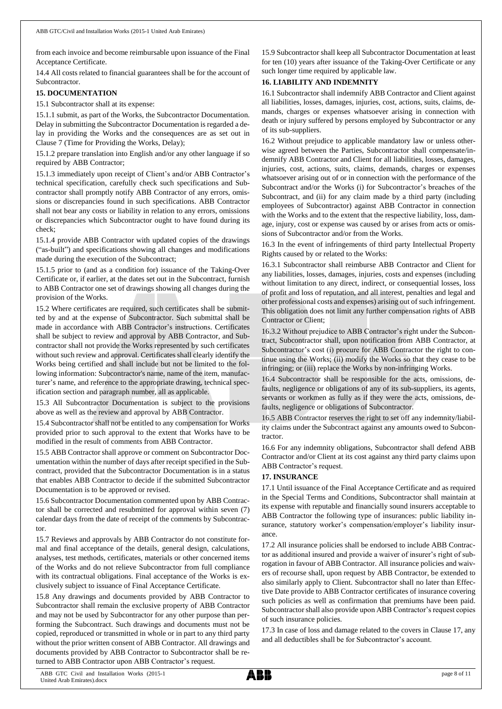from each invoice and become reimbursable upon issuance of the Final Acceptance Certificate.

14.4 All costs related to financial guarantees shall be for the account of Subcontractor.

## **15. DOCUMENTATION**

15.1 Subcontractor shall at its expense:

15.1.1 submit, as part of the Works, the Subcontractor Documentation. Delay in submitting the Subcontractor Documentation is regarded a delay in providing the Works and the consequences are as set out in Clause 7 (Time for Providing the Works, Delay);

15.1.2 prepare translation into English and/or any other language if so required by ABB Contractor;

15.1.3 immediately upon receipt of Client's and/or ABB Contractor's technical specification, carefully check such specifications and Subcontractor shall promptly notify ABB Contractor of any errors, omissions or discrepancies found in such specifications. ABB Contractor shall not bear any costs or liability in relation to any errors, omissions or discrepancies which Subcontractor ought to have found during its check;

15.1.4 provide ABB Contractor with updated copies of the drawings ("as-built") and specifications showing all changes and modifications made during the execution of the Subcontract;

15.1.5 prior to (and as a condition for) issuance of the Taking-Over Certificate or, if earlier, at the dates set out in the Subcontract, furnish to ABB Contractor one set of drawings showing all changes during the provision of the Works.

15.2 Where certificates are required, such certificates shall be submitted by and at the expense of Subcontractor. Such submittal shall be made in accordance with ABB Contractor's instructions. Certificates shall be subject to review and approval by ABB Contractor, and Subcontractor shall not provide the Works represented by such certificates without such review and approval. Certificates shall clearly identify the Works being certified and shall include but not be limited to the following information: Subcontractor's name, name of the item, manufacturer's name, and reference to the appropriate drawing, technical specification section and paragraph number, all as applicable.

15.3 All Subcontractor Documentation is subject to the provisions above as well as the review and approval by ABB Contractor.

15.4 Subcontractor shall not be entitled to any compensation for Works provided prior to such approval to the extent that Works have to be modified in the result of comments from ABB Contractor.

15.5 ABB Contractor shall approve or comment on Subcontractor Documentation within the number of days after receipt specified in the Subcontract, provided that the Subcontractor Documentation is in a status that enables ABB Contractor to decide if the submitted Subcontractor Documentation is to be approved or revised.

15.6 Subcontractor Documentation commented upon by ABB Contractor shall be corrected and resubmitted for approval within seven (7) calendar days from the date of receipt of the comments by Subcontractor.

15.7 Reviews and approvals by ABB Contractor do not constitute formal and final acceptance of the details, general design, calculations, analyses, test methods, certificates, materials or other concerned items of the Works and do not relieve Subcontractor from full compliance with its contractual obligations. Final acceptance of the Works is exclusively subject to issuance of Final Acceptance Certificate.

15.8 Any drawings and documents provided by ABB Contractor to Subcontractor shall remain the exclusive property of ABB Contractor and may not be used by Subcontractor for any other purpose than performing the Subcontract. Such drawings and documents must not be copied, reproduced or transmitted in whole or in part to any third party without the prior written consent of ABB Contractor. All drawings and documents provided by ABB Contractor to Subcontractor shall be returned to ABB Contractor upon ABB Contractor's request.

15.9 Subcontractor shall keep all Subcontractor Documentation at least for ten (10) years after issuance of the Taking-Over Certificate or any such longer time required by applicable law.

# **16. LIABILITY AND INDEMNITY**

16.1 Subcontractor shall indemnify ABB Contractor and Client against all liabilities, losses, damages, injuries, cost, actions, suits, claims, demands, charges or expenses whatsoever arising in connection with death or injury suffered by persons employed by Subcontractor or any of its sub-suppliers.

16.2 Without prejudice to applicable mandatory law or unless otherwise agreed between the Parties, Subcontractor shall compensate/indemnify ABB Contractor and Client for all liabilities, losses, damages, injuries, cost, actions, suits, claims, demands, charges or expenses whatsoever arising out of or in connection with the performance of the Subcontract and/or the Works (i) for Subcontractor's breaches of the Subcontract, and (ii) for any claim made by a third party (including employees of Subcontractor) against ABB Contractor in connection with the Works and to the extent that the respective liability, loss, damage, injury, cost or expense was caused by or arises from acts or omissions of Subcontractor and/or from the Works.

16.3 In the event of infringements of third party Intellectual Property Rights caused by or related to the Works:

16.3.1 Subcontractor shall reimburse ABB Contractor and Client for any liabilities, losses, damages, injuries, costs and expenses (including without limitation to any direct, indirect, or consequential losses, loss of profit and loss of reputation, and all interest, penalties and legal and other professional costs and expenses) arising out of such infringement. This obligation does not limit any further compensation rights of ABB Contractor or Client;

16.3.2 Without prejudice to ABB Contractor's right under the Subcontract, Subcontractor shall, upon notification from ABB Contractor, at Subcontractor's cost (i) procure for ABB Contractor the right to continue using the Works; (ii) modify the Works so that they cease to be infringing; or (iii) replace the Works by non-infringing Works.

16.4 Subcontractor shall be responsible for the acts, omissions, defaults, negligence or obligations of any of its sub-suppliers, its agents, servants or workmen as fully as if they were the acts, omissions, defaults, negligence or obligations of Subcontractor.

16.5 ABB Contractor reserves the right to set off any indemnity/liability claims under the Subcontract against any amounts owed to Subcontractor.

16.6 For any indemnity obligations, Subcontractor shall defend ABB Contractor and/or Client at its cost against any third party claims upon ABB Contractor's request.

## **17. INSURANCE**

17.1 Until issuance of the Final Acceptance Certificate and as required in the Special Terms and Conditions, Subcontractor shall maintain at its expense with reputable and financially sound insurers acceptable to ABB Contractor the following type of insurances: public liability insurance, statutory worker's compensation/employer's liability insurance.

17.2 All insurance policies shall be endorsed to include ABB Contractor as additional insured and provide a waiver of insurer's right of subrogation in favour of ABB Contractor. All insurance policies and waivers of recourse shall, upon request by ABB Contractor, be extended to also similarly apply to Client. Subcontractor shall no later than Effective Date provide to ABB Contractor certificates of insurance covering such policies as well as confirmation that premiums have been paid. Subcontractor shall also provide upon ABB Contractor's request copies of such insurance policies.

17.3 In case of loss and damage related to the covers in Clause 17, any and all deductibles shall be for Subcontractor's account.

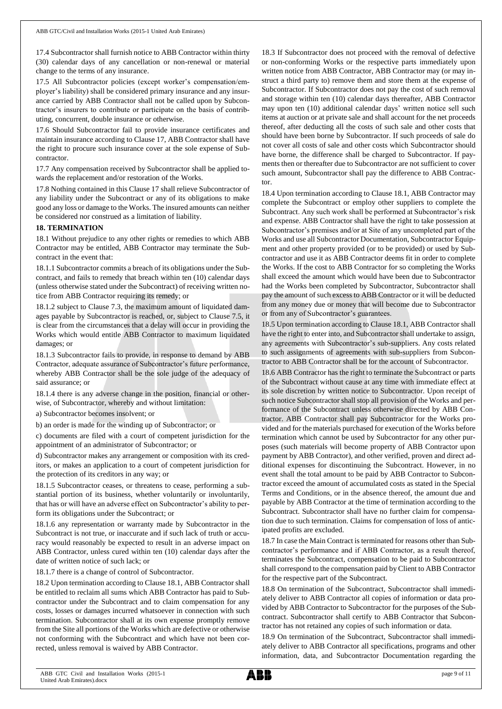17.4 Subcontractor shall furnish notice to ABB Contractor within thirty (30) calendar days of any cancellation or non-renewal or material change to the terms of any insurance.

17.5 All Subcontractor policies (except worker's compensation/employer's liability) shall be considered primary insurance and any insurance carried by ABB Contractor shall not be called upon by Subcontractor's insurers to contribute or participate on the basis of contributing, concurrent, double insurance or otherwise.

17.6 Should Subcontractor fail to provide insurance certificates and maintain insurance according to Clause 17, ABB Contractor shall have the right to procure such insurance cover at the sole expense of Subcontractor.

17.7 Any compensation received by Subcontractor shall be applied towards the replacement and/or restoration of the Works.

17.8 Nothing contained in this Clause 17 shall relieve Subcontractor of any liability under the Subcontract or any of its obligations to make good any loss or damage to the Works. The insured amounts can neither be considered nor construed as a limitation of liability.

## **18. TERMINATION**

18.1 Without prejudice to any other rights or remedies to which ABB Contractor may be entitled, ABB Contractor may terminate the Subcontract in the event that:

18.1.1 Subcontractor commits a breach of its obligations under the Subcontract, and fails to remedy that breach within ten (10) calendar days (unless otherwise stated under the Subcontract) of receiving written notice from ABB Contractor requiring its remedy; or

18.1.2 subject to Clause 7.3, the maximum amount of liquidated damages payable by Subcontractor is reached, or, subject to Clause 7.5, it is clear from the circumstances that a delay will occur in providing the Works which would entitle ABB Contractor to maximum liquidated damages; or

18.1.3 Subcontractor fails to provide, in response to demand by ABB Contractor, adequate assurance of Subcontractor's future performance, whereby ABB Contractor shall be the sole judge of the adequacy of said assurance; or

18.1.4 there is any adverse change in the position, financial or otherwise, of Subcontractor, whereby and without limitation:

a) Subcontractor becomes insolvent; or

b) an order is made for the winding up of Subcontractor; or

c) documents are filed with a court of competent jurisdiction for the appointment of an administrator of Subcontractor; or

d) Subcontractor makes any arrangement or composition with its creditors, or makes an application to a court of competent jurisdiction for the protection of its creditors in any way; or

18.1.5 Subcontractor ceases, or threatens to cease, performing a substantial portion of its business, whether voluntarily or involuntarily, that has or will have an adverse effect on Subcontractor's ability to perform its obligations under the Subcontract; or

18.1.6 any representation or warranty made by Subcontractor in the Subcontract is not true, or inaccurate and if such lack of truth or accuracy would reasonably be expected to result in an adverse impact on ABB Contractor, unless cured within ten (10) calendar days after the date of written notice of such lack; or

18.1.7 there is a change of control of Subcontractor.

18.2 Upon termination according to Clause 18.1, ABB Contractor shall be entitled to reclaim all sums which ABB Contractor has paid to Subcontractor under the Subcontract and to claim compensation for any costs, losses or damages incurred whatsoever in connection with such termination. Subcontractor shall at its own expense promptly remove from the Site all portions of the Works which are defective or otherwise not conforming with the Subcontract and which have not been corrected, unless removal is waived by ABB Contractor.

18.3 If Subcontractor does not proceed with the removal of defective or non-conforming Works or the respective parts immediately upon written notice from ABB Contractor, ABB Contractor may (or may instruct a third party to) remove them and store them at the expense of Subcontractor. If Subcontractor does not pay the cost of such removal and storage within ten (10) calendar days thereafter, ABB Contractor may upon ten (10) additional calendar days' written notice sell such items at auction or at private sale and shall account for the net proceeds thereof, after deducting all the costs of such sale and other costs that should have been borne by Subcontractor. If such proceeds of sale do not cover all costs of sale and other costs which Subcontractor should have borne, the difference shall be charged to Subcontractor. If payments then or thereafter due to Subcontractor are not sufficient to cover such amount, Subcontractor shall pay the difference to ABB Contractor.

18.4 Upon termination according to Clause 18.1, ABB Contractor may complete the Subcontract or employ other suppliers to complete the Subcontract. Any such work shall be performed at Subcontractor's risk and expense. ABB Contractor shall have the right to take possession at Subcontractor's premises and/or at Site of any uncompleted part of the Works and use all Subcontractor Documentation, Subcontractor Equipment and other property provided (or to be provided) or used by Subcontractor and use it as ABB Contractor deems fit in order to complete the Works. If the cost to ABB Contractor for so completing the Works shall exceed the amount which would have been due to Subcontractor had the Works been completed by Subcontractor, Subcontractor shall pay the amount of such excess to ABB Contractor or it will be deducted from any money due or money that will become due to Subcontractor or from any of Subcontractor's guarantees.

18.5 Upon termination according to Clause 18.1, ABB Contractor shall have the right to enter into, and Subcontractor shall undertake to assign, any agreements with Subcontractor's sub-suppliers. Any costs related to such assignments of agreements with sub-suppliers from Subcontractor to ABB Contractor shall be for the account of Subcontractor.

18.6 ABB Contractor has the right to terminate the Subcontract or parts of the Subcontract without cause at any time with immediate effect at its sole discretion by written notice to Subcontractor. Upon receipt of such notice Subcontractor shall stop all provision of the Works and performance of the Subcontract unless otherwise directed by ABB Contractor. ABB Contractor shall pay Subcontractor for the Works provided and for the materials purchased for execution of the Works before termination which cannot be used by Subcontractor for any other purposes (such materials will become property of ABB Contractor upon payment by ABB Contractor), and other verified, proven and direct additional expenses for discontinuing the Subcontract. However, in no event shall the total amount to be paid by ABB Contractor to Subcontractor exceed the amount of accumulated costs as stated in the Special Terms and Conditions, or in the absence thereof, the amount due and payable by ABB Contractor at the time of termination according to the Subcontract. Subcontractor shall have no further claim for compensation due to such termination. Claims for compensation of loss of anticipated profits are excluded.

18.7 In case the Main Contract is terminated for reasons other than Subcontractor's performance and if ABB Contractor, as a result thereof, terminates the Subcontract, compensation to be paid to Subcontractor shall correspond to the compensation paid by Client to ABB Contractor for the respective part of the Subcontract.

18.8 On termination of the Subcontract, Subcontractor shall immediately deliver to ABB Contractor all copies of information or data provided by ABB Contractor to Subcontractor for the purposes of the Subcontract. Subcontractor shall certify to ABB Contractor that Subcontractor has not retained any copies of such information or data.

18.9 On termination of the Subcontract, Subcontractor shall immediately deliver to ABB Contractor all specifications, programs and other information, data, and Subcontractor Documentation regarding the

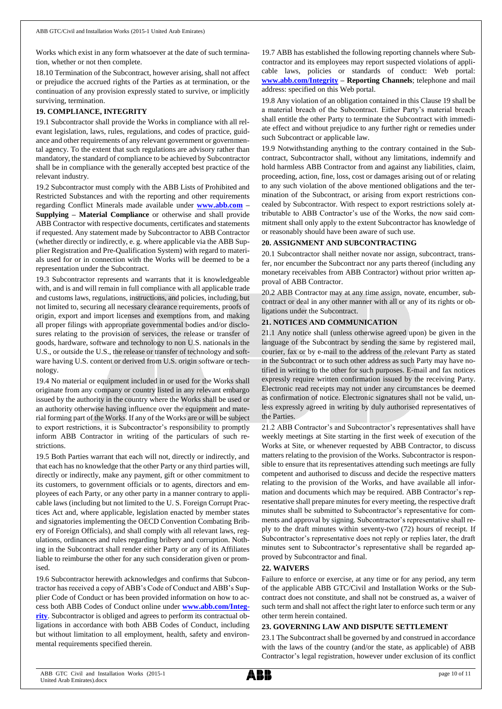Works which exist in any form whatsoever at the date of such termination, whether or not then complete.

18.10 Termination of the Subcontract, however arising, shall not affect or prejudice the accrued rights of the Parties as at termination, or the continuation of any provision expressly stated to survive, or implicitly surviving, termination.

# **19. COMPLIANCE, INTEGRITY**

19.1 Subcontractor shall provide the Works in compliance with all relevant legislation, laws, rules, regulations, and codes of practice, guidance and other requirements of any relevant government or governmental agency. To the extent that such regulations are advisory rather than mandatory, the standard of compliance to be achieved by Subcontractor shall be in compliance with the generally accepted best practice of the relevant industry.

19.2 Subcontractor must comply with the ABB Lists of Prohibited and Restricted Substances and with the reporting and other requirements regarding Conflict Minerals made available under **[www.abb.com](http://www.abb.com/) – Supplying – Material Compliance** or otherwise and shall provide ABB Contractor with respective documents, certificates and statements if requested. Any statement made by Subcontractor to ABB Contractor (whether directly or indirectly, e. g. where applicable via the ABB Supplier Registration and Pre-Qualification System) with regard to materials used for or in connection with the Works will be deemed to be a representation under the Subcontract.

19.3 Subcontractor represents and warrants that it is knowledgeable with, and is and will remain in full compliance with all applicable trade and customs laws, regulations, instructions, and policies, including, but not limited to, securing all necessary clearance requirements, proofs of origin, export and import licenses and exemptions from, and making all proper filings with appropriate governmental bodies and/or disclosures relating to the provision of services, the release or transfer of goods, hardware, software and technology to non U.S. nationals in the U.S., or outside the U.S., the release or transfer of technology and software having U.S. content or derived from U.S. origin software or technology.

19.4 No material or equipment included in or used for the Works shall originate from any company or country listed in any relevant embargo issued by the authority in the country where the Works shall be used or an authority otherwise having influence over the equipment and material forming part of the Works. If any of the Works are or will be subject to export restrictions, it is Subcontractor's responsibility to promptly inform ABB Contractor in writing of the particulars of such restrictions.

19.5 Both Parties warrant that each will not, directly or indirectly, and that each has no knowledge that the other Party or any third parties will, directly or indirectly, make any payment, gift or other commitment to its customers, to government officials or to agents, directors and employees of each Party, or any other party in a manner contrary to applicable laws (including but not limited to the U. S. Foreign Corrupt Practices Act and, where applicable, legislation enacted by member states and signatories implementing the OECD Convention Combating Bribery of Foreign Officials), and shall comply with all relevant laws, regulations, ordinances and rules regarding bribery and corruption. Nothing in the Subcontract shall render either Party or any of its Affiliates liable to reimburse the other for any such consideration given or promised.

19.6 Subcontractor herewith acknowledges and confirms that Subcontractor has received a copy of ABB's Code of Conduct and ABB's Supplier Code of Conduct or has been provided information on how to access both ABB Codes of Conduct online under **[www.abb.com/Integ](http://www.abb.com/Integrity)[rity](http://www.abb.com/Integrity)**. Subcontractor is obliged and agrees to perform its contractual obligations in accordance with both ABB Codes of Conduct, including but without limitation to all employment, health, safety and environmental requirements specified therein.

19.7 ABB has established the following reporting channels where Subcontractor and its employees may report suspected violations of applicable laws, policies or standards of conduct: Web portal: **[www.abb.com/Integrity](http://www.abb.com/Integrity) – Reporting Channels**; telephone and mail address: specified on this Web portal.

19.8 Any violation of an obligation contained in this Clause 19 shall be a material breach of the Subcontract. Either Party's material breach shall entitle the other Party to terminate the Subcontract with immediate effect and without prejudice to any further right or remedies under such Subcontract or applicable law.

19.9 Notwithstanding anything to the contrary contained in the Subcontract, Subcontractor shall, without any limitations, indemnify and hold harmless ABB Contractor from and against any liabilities, claim, proceeding, action, fine, loss, cost or damages arising out of or relating to any such violation of the above mentioned obligations and the termination of the Subcontract, or arising from export restrictions concealed by Subcontractor. With respect to export restrictions solely attributable to ABB Contractor's use of the Works, the now said commitment shall only apply to the extent Subcontractor has knowledge of or reasonably should have been aware of such use.

## **20. ASSIGNMENT AND SUBCONTRACTING**

20.1 Subcontractor shall neither novate nor assign, subcontract, transfer, nor encumber the Subcontract nor any parts thereof (including any monetary receivables from ABB Contractor) without prior written approval of ABB Contractor.

20.2 ABB Contractor may at any time assign, novate, encumber, subcontract or deal in any other manner with all or any of its rights or obligations under the Subcontract.

## **21. NOTICES AND COMMUNICATION**

21.1 Any notice shall (unless otherwise agreed upon) be given in the language of the Subcontract by sending the same by registered mail, courier, fax or by e-mail to the address of the relevant Party as stated in the Subcontract or to such other address as such Party may have notified in writing to the other for such purposes. E-mail and fax notices expressly require written confirmation issued by the receiving Party. Electronic read receipts may not under any circumstances be deemed as confirmation of notice. Electronic signatures shall not be valid, unless expressly agreed in writing by duly authorised representatives of the Parties.

21.2 ABB Contractor's and Subcontractor's representatives shall have weekly meetings at Site starting in the first week of execution of the Works at Site, or whenever requested by ABB Contractor, to discuss matters relating to the provision of the Works. Subcontractor is responsible to ensure that its representatives attending such meetings are fully competent and authorised to discuss and decide the respective matters relating to the provision of the Works, and have available all information and documents which may be required. ABB Contractor's representative shall prepare minutes for every meeting, the respective draft minutes shall be submitted to Subcontractor's representative for comments and approval by signing. Subcontractor's representative shall reply to the draft minutes within seventy-two (72) hours of receipt. If Subcontractor's representative does not reply or replies later, the draft minutes sent to Subcontractor's representative shall be regarded approved by Subcontractor and final.

## **22. WAIVERS**

Failure to enforce or exercise, at any time or for any period, any term of the applicable ABB GTC/Civil and Installation Works or the Subcontract does not constitute, and shall not be construed as, a waiver of such term and shall not affect the right later to enforce such term or any other term herein contained.

## **23. GOVERNING LAW AND DISPUTE SETTLEMENT**

23.1 The Subcontract shall be governed by and construed in accordance with the laws of the country (and/or the state, as applicable) of ABB Contractor's legal registration, however under exclusion of its conflict